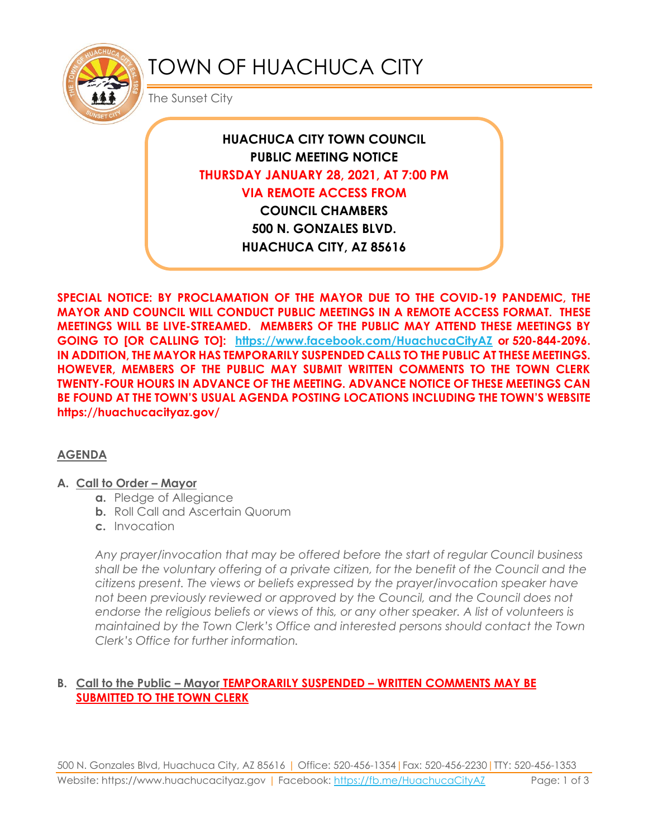

# TOWN OF HUACHUCA CITY

The Sunset City

**HUACHUCA CITY TOWN COUNCIL PUBLIC MEETING NOTICE THURSDAY JANUARY 28, 2021, AT 7:00 PM VIA REMOTE ACCESS FROM COUNCIL CHAMBERS 500 N. GONZALES BLVD. HUACHUCA CITY, AZ 85616**

**SPECIAL NOTICE: BY PROCLAMATION OF THE MAYOR DUE TO THE COVID-19 PANDEMIC, THE MAYOR AND COUNCIL WILL CONDUCT PUBLIC MEETINGS IN A REMOTE ACCESS FORMAT. THESE MEETINGS WILL BE LIVE-STREAMED. MEMBERS OF THE PUBLIC MAY ATTEND THESE MEETINGS BY GOING TO [OR CALLING TO]: <https://www.facebook.com/HuachucaCityAZ> or 520-844-2096. IN ADDITION, THE MAYOR HAS TEMPORARILY SUSPENDED CALLS TO THE PUBLIC AT THESE MEETINGS. HOWEVER, MEMBERS OF THE PUBLIC MAY SUBMIT WRITTEN COMMENTS TO THE TOWN CLERK TWENTY-FOUR HOURS IN ADVANCE OF THE MEETING. ADVANCE NOTICE OF THESE MEETINGS CAN BE FOUND AT THE TOWN'S USUAL AGENDA POSTING LOCATIONS INCLUDING THE TOWN'S WEBSITE https://huachucacityaz.gov/**

# **AGENDA**

## **A. Call to Order – Mayor**

- **a.** Pledge of Allegiance
- **b.** Roll Call and Ascertain Quorum
- **c.** Invocation

*Any prayer/invocation that may be offered before the start of regular Council business shall be the voluntary offering of a private citizen, for the benefit of the Council and the citizens present. The views or beliefs expressed by the prayer/invocation speaker have not been previously reviewed or approved by the Council, and the Council does not endorse the religious beliefs or views of this, or any other speaker. A list of volunteers is maintained by the Town Clerk's Office and interested persons should contact the Town Clerk's Office for further information.*

## **B. Call to the Public – Mayor TEMPORARILY SUSPENDED – WRITTEN COMMENTS MAY BE SUBMITTED TO THE TOWN CLERK**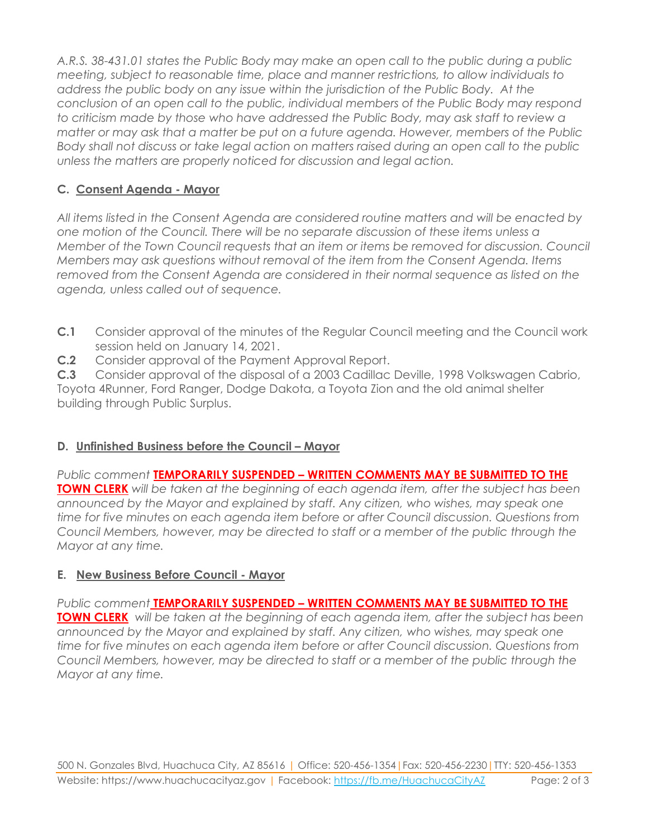*A.R.S. 38-431.01 states the Public Body may make an open call to the public during a public meeting, subject to reasonable time, place and manner restrictions, to allow individuals to address the public body on any issue within the jurisdiction of the Public Body. At the conclusion of an open call to the public, individual members of the Public Body may respond to criticism made by those who have addressed the Public Body, may ask staff to review a matter or may ask that a matter be put on a future agenda. However, members of the Public Body shall not discuss or take legal action on matters raised during an open call to the public unless the matters are properly noticed for discussion and legal action.*

# **C. Consent Agenda - Mayor**

*All items listed in the Consent Agenda are considered routine matters and will be enacted by one motion of the Council. There will be no separate discussion of these items unless a Member of the Town Council requests that an item or items be removed for discussion. Council Members may ask questions without removal of the item from the Consent Agenda. Items removed from the Consent Agenda are considered in their normal sequence as listed on the agenda, unless called out of sequence.*

- **C.1** Consider approval of the minutes of the Regular Council meeting and the Council work session held on January 14, 2021.
- **C.2** Consider approval of the Payment Approval Report.

**C.3** Consider approval of the disposal of a 2003 Cadillac Deville, 1998 Volkswagen Cabrio, Toyota 4Runner, Ford Ranger, Dodge Dakota, a Toyota Zion and the old animal shelter building through Public Surplus.

# **D. Unfinished Business before the Council – Mayor**

*Public comment* **TEMPORARILY SUSPENDED – WRITTEN COMMENTS MAY BE SUBMITTED TO THE TOWN CLERK** *will be taken at the beginning of each agenda item, after the subject has been announced by the Mayor and explained by staff. Any citizen, who wishes, may speak one time for five minutes on each agenda item before or after Council discussion. Questions from Council Members, however, may be directed to staff or a member of the public through the Mayor at any time.*

# **E. New Business Before Council - Mayor**

*Public comment* **TEMPORARILY SUSPENDED – WRITTEN COMMENTS MAY BE SUBMITTED TO THE TOWN CLERK** *will be taken at the beginning of each agenda item, after the subject has been announced by the Mayor and explained by staff. Any citizen, who wishes, may speak one time for five minutes on each agenda item before or after Council discussion. Questions from Council Members, however, may be directed to staff or a member of the public through the Mayor at any time.*